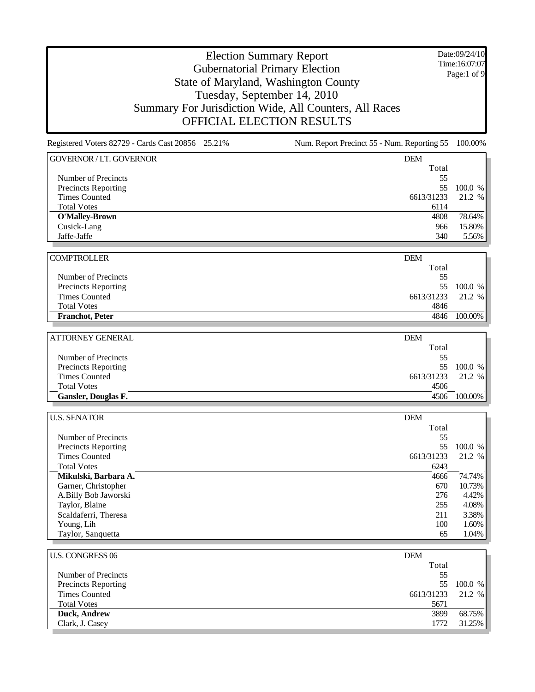Date:09/24/10 Time:16:07:07 Page:1 of 9

| Registered Voters 82729 - Cards Cast 20856 25.21% | Num. Report Precinct 55 - Num. Reporting 55 100.00% |         |
|---------------------------------------------------|-----------------------------------------------------|---------|
| <b>GOVERNOR / LT. GOVERNOR</b>                    | <b>DEM</b>                                          |         |
|                                                   | Total                                               |         |
| Number of Precincts                               | 55                                                  |         |
| <b>Precincts Reporting</b>                        | 55                                                  | 100.0 % |
| <b>Times Counted</b>                              | 6613/31233                                          | 21.2 %  |
| <b>Total Votes</b>                                | 6114                                                |         |
| <b>O'Malley-Brown</b>                             | 4808                                                | 78.64%  |
| Cusick-Lang                                       | 966                                                 | 15.80%  |
| Jaffe-Jaffe                                       | 340                                                 | 5.56%   |
| <b>COMPTROLLER</b>                                | <b>DEM</b>                                          |         |
|                                                   | Total                                               |         |
| Number of Precincts                               | 55                                                  |         |
| Precincts Reporting                               | 55                                                  | 100.0 % |
| <b>Times Counted</b>                              | 6613/31233                                          | 21.2 %  |
| <b>Total Votes</b>                                | 4846                                                |         |
| <b>Franchot</b> , Peter                           | 4846                                                | 100.00% |
|                                                   |                                                     |         |
| <b>ATTORNEY GENERAL</b>                           | <b>DEM</b>                                          |         |
|                                                   | Total                                               |         |
| Number of Precincts                               | 55                                                  |         |
| Precincts Reporting                               | 55                                                  | 100.0 % |
| <b>Times Counted</b>                              | 6613/31233                                          | 21.2 %  |
| <b>Total Votes</b>                                | 4506                                                |         |
| Gansler, Douglas F.                               | 4506                                                | 100.00% |
| <b>U.S. SENATOR</b>                               | DEM                                                 |         |
|                                                   | Total                                               |         |
| Number of Precincts                               | 55                                                  |         |
| Precincts Reporting                               | 55                                                  | 100.0 % |
| <b>Times Counted</b>                              | 6613/31233                                          | 21.2 %  |
| <b>Total Votes</b>                                | 6243                                                |         |
| Mikulski, Barbara A.                              | 4666                                                | 74.74%  |
| Garner, Christopher                               | 670                                                 | 10.73%  |
| A.Billy Bob Jaworski                              | 276                                                 | 4.42%   |
| Taylor, Blaine                                    | 255                                                 | 4.08%   |
| Scaldaferri, Theresa                              | 211                                                 | 3.38%   |
| Young, Lih                                        | 100                                                 | 1.60%   |
| Taylor, Sanquetta                                 | 65                                                  | 1.04%   |
|                                                   |                                                     |         |
| <b>U.S. CONGRESS 06</b>                           | DEM                                                 |         |
|                                                   | Total                                               |         |
| Number of Precincts                               | 55                                                  |         |
| <b>Precincts Reporting</b>                        | 55                                                  | 100.0 % |
| <b>Times Counted</b>                              | 6613/31233                                          | 21.2 %  |
| <b>Total Votes</b>                                | 5671                                                |         |
| Duck, Andrew                                      | 3899                                                | 68.75%  |
| Clark, J. Casey                                   | 1772                                                | 31.25%  |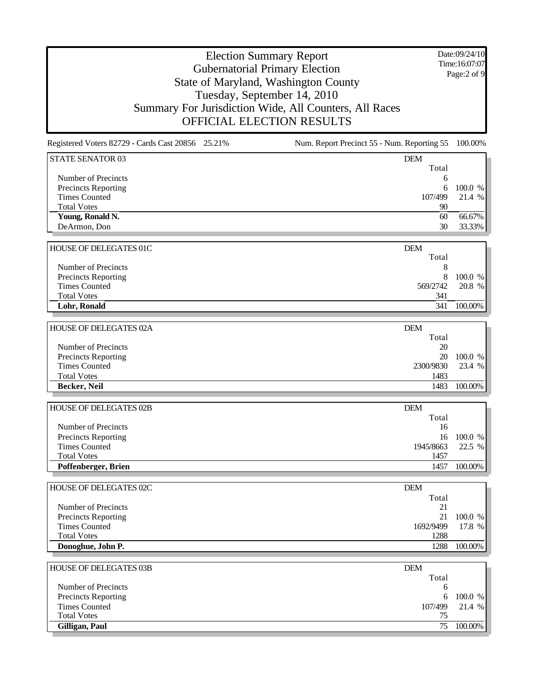Date:09/24/10 Time:16:07:07 Page:2 of 9

| Registered Voters 82729 - Cards Cast 20856 25.21% | Num. Report Precinct 55 - Num. Reporting 55 100.00% |                   |
|---------------------------------------------------|-----------------------------------------------------|-------------------|
| <b>STATE SENATOR 03</b>                           | <b>DEM</b>                                          |                   |
|                                                   | Total                                               |                   |
| Number of Precincts                               | 6                                                   |                   |
| Precincts Reporting                               | 6                                                   | 100.0 %           |
| <b>Times Counted</b>                              | 107/499                                             | 21.4 %            |
| <b>Total Votes</b>                                | 90                                                  |                   |
| Young, Ronald N.                                  | 60                                                  | 66.67%            |
| DeArmon, Don                                      | 30                                                  | 33.33%            |
| HOUSE OF DELEGATES 01C                            | <b>DEM</b>                                          |                   |
|                                                   | Total                                               |                   |
| Number of Precincts                               | 8                                                   |                   |
| Precincts Reporting                               | 8                                                   | 100.0 %           |
| <b>Times Counted</b>                              | 569/2742                                            | 20.8 %            |
| <b>Total Votes</b>                                | 341                                                 |                   |
| Lohr, Ronald                                      | 341                                                 | 100.00%           |
|                                                   |                                                     |                   |
| HOUSE OF DELEGATES 02A                            | <b>DEM</b><br>Total                                 |                   |
|                                                   |                                                     |                   |
| Number of Precincts                               | 20                                                  |                   |
| Precincts Reporting<br><b>Times Counted</b>       | 20<br>2300/9830                                     | 100.0 %<br>23.4 % |
| <b>Total Votes</b>                                | 1483                                                |                   |
|                                                   |                                                     |                   |
| Becker, Neil                                      | 1483                                                | 100.00%           |
|                                                   |                                                     |                   |
| HOUSE OF DELEGATES 02B                            | <b>DEM</b>                                          |                   |
| Number of Precincts                               | Total<br>16                                         |                   |
|                                                   | 16                                                  | 100.0 %           |
| Precincts Reporting<br><b>Times Counted</b>       |                                                     |                   |
| <b>Total Votes</b>                                | 1945/8663<br>1457                                   | 22.5 %            |
| Poffenberger, Brien                               | 1457                                                | 100.00%           |
|                                                   |                                                     |                   |
| HOUSE OF DELEGATES 02C                            | <b>DEM</b>                                          |                   |
|                                                   | Total                                               |                   |
| Number of Precincts                               | 21                                                  |                   |
| Precincts Reporting                               | 21                                                  | 100.0 %           |
| <b>Times Counted</b>                              | 1692/9499                                           | 17.8 %            |
| <b>Total Votes</b>                                | 1288                                                |                   |
| Donoghue, John P.                                 | 1288                                                | 100.00%           |
|                                                   |                                                     |                   |
| HOUSE OF DELEGATES 03B                            | <b>DEM</b>                                          |                   |
|                                                   | Total                                               |                   |
| Number of Precincts                               | 6                                                   |                   |
| Precincts Reporting                               | 6                                                   | 100.0 %           |
| <b>Times Counted</b>                              | 107/499                                             | 21.4 %            |
| <b>Total Votes</b>                                | 75                                                  |                   |
| Gilligan, Paul                                    | 75                                                  | 100.00%           |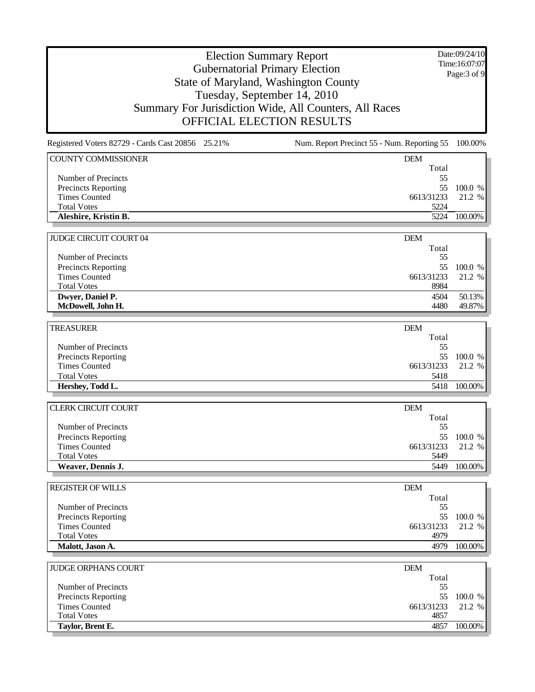Date:09/24/10 Time:16:07:07 Page:3 of 9

### Election Summary Report Gubernatorial Primary Election State of Maryland, Washington County Tuesday, September 14, 2010 Summary For Jurisdiction Wide, All Counters, All Races OFFICIAL ELECTION RESULTS

| Registered Voters 82729 - Cards Cast 20856 25.21% | Num. Report Precinct 55 - Num. Reporting 55 | 100.00%           |
|---------------------------------------------------|---------------------------------------------|-------------------|
| <b>COUNTY COMMISSIONER</b>                        | DEM                                         |                   |
|                                                   | Total                                       |                   |
| Number of Precincts                               | 55                                          |                   |
| Precincts Reporting                               | 55                                          | 100.0 %           |
| <b>Times Counted</b>                              | 6613/31233                                  | 21.2 %            |
| <b>Total Votes</b>                                | 5224                                        |                   |
| Aleshire, Kristin B.                              | 5224                                        | 100.00%           |
| <b>JUDGE CIRCUIT COURT 04</b>                     | <b>DEM</b>                                  |                   |
|                                                   | Total                                       |                   |
| Number of Precincts                               | 55                                          |                   |
| <b>Precincts Reporting</b>                        | 55                                          | 100.0 %           |
| <b>Times Counted</b>                              | 6613/31233                                  | 21.2 %            |
| <b>Total Votes</b>                                | 8984                                        |                   |
| Dwyer, Daniel P.                                  | 4504                                        | 50.13%            |
| McDowell, John H.                                 | 4480                                        | 49.87%            |
|                                                   |                                             |                   |
| <b>TREASURER</b>                                  | <b>DEM</b>                                  |                   |
|                                                   | Total                                       |                   |
| Number of Precincts                               | 55                                          |                   |
| Precincts Reporting                               | 55                                          | 100.0 %           |
| <b>Times Counted</b>                              | 6613/31233                                  | 21.2 %            |
| <b>Total Votes</b>                                | 5418                                        |                   |
| Hershey, Todd L.                                  | 5418                                        | 100.00%           |
| <b>CLERK CIRCUIT COURT</b>                        | <b>DEM</b>                                  |                   |
|                                                   | Total                                       |                   |
| Number of Precincts                               | 55                                          |                   |
| Precincts Reporting                               | 55                                          | 100.0 %           |
| <b>Times Counted</b>                              | 6613/31233                                  | 21.2 %            |
| <b>Total Votes</b>                                | 5449                                        |                   |
| Weaver, Dennis J.                                 | 5449                                        | 100.00%           |
|                                                   |                                             |                   |
| <b>REGISTER OF WILLS</b>                          | <b>DEM</b>                                  |                   |
|                                                   | Total                                       |                   |
| Number of Precincts                               | 55                                          |                   |
| Precincts Reporting                               | 55                                          | 100.0 %           |
| <b>Times Counted</b>                              | 6613/31233                                  | 21.2 %            |
| <b>Total Votes</b>                                | 4979                                        |                   |
| Malott, Jason A.                                  | 4979                                        | 100.00%           |
|                                                   |                                             |                   |
| <b>JUDGE ORPHANS COURT</b>                        | <b>DEM</b>                                  |                   |
|                                                   | Total                                       |                   |
| Number of Precincts                               | 55                                          |                   |
| Precincts Reporting<br><b>Times Counted</b>       | 55<br>6613/31233                            | 100.0 %<br>21.2 % |
|                                                   |                                             |                   |

**Taylor, Brent E.** 4857 100.00%

Total Votes 4857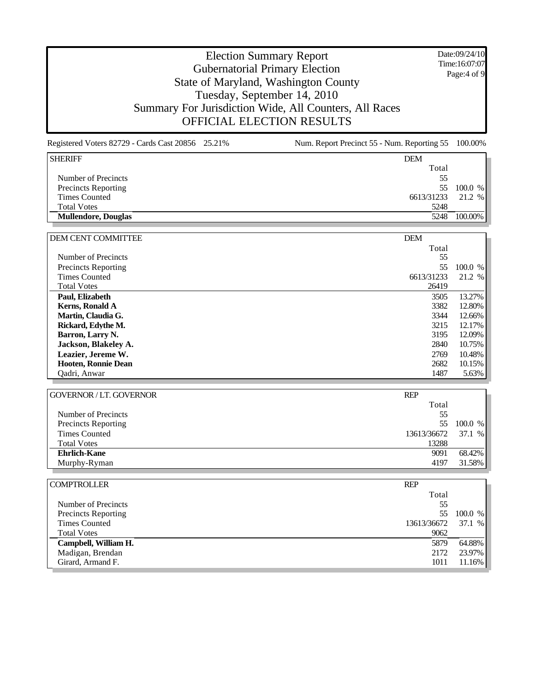Date:09/24/10 Time:16:07:07 Page:4 of 9

#### Election Summary Report Gubernatorial Primary Election State of Maryland, Washington County Tuesday, September 14, 2010 Summary For Jurisdiction Wide, All Counters, All Races OFFICIAL ELECTION RESULTS

Registered Voters 82729 - Cards Cast 20856 25.21% Num. Report Precinct 55 - Num. Reporting 55 100.00% SHERIFF DEMONSTRATION CONTROL IN THE SERVICE OF THE SERVICE OF THE SERVICE OF THE SERVICE OF THE SERVICE OF THE SERVICE OF THE SERVICE OF THE SERVICE OF THE SERVICE OF THE SERVICE OF THE SERVICE OF THE SERVICE OF THE SERVI Total Number of Precincts 55 Precincts Reporting 55 100.0 % 55 100.0 % 6613/31233 21.2 % 6613/31233 21.2 % 6613/31233 21.2 % 6613/31233 21.2 % 6613/31233 21.2 % 6613/31233 21.2 % 6613/31233 21.2 % 6613/31233 21.2 % 6613/31233 21.2 % 6613/31233 21.2 % Times Counted Total Votes 5248 **Mullendore, Douglas** 5248 100.00% DEM CENT COMMITTEE DEM Total Number of Precincts 55 Precincts Reporting 55 100.0 % Times Counted 6613/31233 21.2 % Total Votes 26419 **Paul, Elizabeth** 3505 13.27% **Kerns Ronald A** 3505 13.27% **S Kerns, Ronald A** 3382 12.80% **Martin, Claudia G.** 3344 12.66%

| IXULIIS, IXUIIGHU A        | ےں ر | 14.OV 70 |
|----------------------------|------|----------|
| Martin, Claudia G.         | 3344 | 12.66%   |
| Rickard, Edythe M.         | 3215 | 12.17%   |
| Barron, Larry N.           | 3195 | 12.09%   |
| Jackson, Blakeley A.       | 2840 | 10.75%   |
| Leazier, Jereme W.         | 2769 | 10.48%   |
| <b>Hooten, Ronnie Dean</b> | 2682 | 10.15%   |
| Oadri, Anwar               | 1487 | 5.63%    |

| <b>GOVERNOR / LT. GOVERNOR</b> | <b>REP</b>  |         |
|--------------------------------|-------------|---------|
|                                | Total       |         |
| Number of Precincts            | 55          |         |
| <b>Precincts Reporting</b>     | 55.         | 100.0 % |
| <b>Times Counted</b>           | 13613/36672 | 37.1 %  |
| <b>Total Votes</b>             | 13288       |         |
| <b>Ehrlich-Kane</b>            | 9091        | 68.42%  |
| Murphy-Ryman                   | 4197        | 31.58%  |

| <b>COMPTROLLER</b>   | <b>REP</b>  |         |
|----------------------|-------------|---------|
|                      | Total       |         |
| Number of Precincts  | 55          |         |
| Precincts Reporting  | 55          | 100.0 % |
| <b>Times Counted</b> | 13613/36672 | 37.1 %  |
| <b>Total Votes</b>   | 9062        |         |
| Campbell, William H. | 5879        | 64.88%  |
| Madigan, Brendan     | 2172        | 23.97%  |
| Girard, Armand F.    | 1011        | 11.16%  |
|                      |             |         |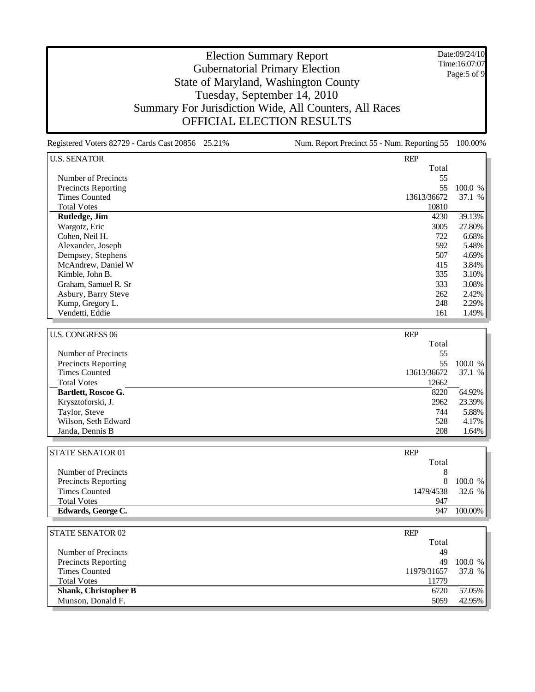Date:09/24/10 Time:16:07:07 Page:5 of 9

### Election Summary Report Gubernatorial Primary Election State of Maryland, Washington County Tuesday, September 14, 2010 Summary For Jurisdiction Wide, All Counters, All Races OFFICIAL ELECTION RESULTS

Registered Voters 82729 - Cards Cast 20856 25.21% Num. Report Precinct 55 - Num. Reporting 55 100.00% U.S. SENATOR REP Total Number of Precincts 55 Precincts Reporting 55 100.0 % 55 100.0 % 65 100.0 % 65 100.0 % 65 100.0 % 65 100.0 % 65 100.0 % 67 11 % 67 11 % 67 11 % 67 11 % 67 11 % 67 11 % 67 11 % 67 11 % 67 11 % 67 11 % 67 11 % 67 11 % 67 11 % 67 11 % 67 11 % 67 11 Times Counted Total Votes 10810 **Rutledge, Jim** 4230 39.13% Wargotz, Eric 3005 27.80% Cohen, Neil H. 722 6.68% alexander, Joseph 722 5.48% Alexander, Joseph Dempsey, Stephens 507 4.69% McAndrew, Daniel W 415 3.84% Kimble, John B. 335 3.10% Graham, Samuel R. Sr 308% and Street and Street and Street and Street and Street and Street and Street and Street and Street and Street and Street and Street and Street and Street and Street and Street and Street and Stree Asbury, Barry Steve 262 2.42% 2.42% 2.42% 2.42% 2.42% 2.42% 2.42% 2.42% 2.42% 2.42% 2.42% 2.529% 2.42% 2.529% Kump, Gregory L. Vendetti, Eddie 1.49% and 1.49% and 1.49% and 1.49% and 1.49% and 1.49% and 1.49% and 1.49% and 1.49% and 1.49% U.S. CONGRESS 06 REP Total Number of Precincts 55 Precincts Reporting 55 100.0 % 55 100.0 % 55 100.0 % 65 100.0 % 65 100.0 % 65 100.0 % 65 100.0 % 67 11 % 67 11 % 67 11 % 67 11 % 67 11 % 67 11 % 67 11 % 67 11 % 67 11 % 67 11 % 67 11 % 67 11 % 67 11 % 67 11 % 67 11 % 67 11 Times Counted Total Votes 12662 **Bartlett, Roscoe G.** 8220 64.92% Krysztoforski, J. 2962 23.39% Taylor, Steve 744 5.88% Wilson, Seth Edward 528 4.17% Janda, Dennis B 208 1.64%

| Edwards, George C.         | 100.00%<br>947      |  |
|----------------------------|---------------------|--|
| <b>Total Votes</b>         | 947                 |  |
| Times Counted              | 32.6 %<br>1479/4538 |  |
| <b>Precincts Reporting</b> | $100.0~\%$<br>8     |  |
| Number of Precincts        |                     |  |
|                            | Total               |  |
| <b>STATE SENATOR 01</b>    | <b>REP</b>          |  |

| <b>STATE SENATOR 02</b>     | <b>REP</b>  |         |
|-----------------------------|-------------|---------|
|                             | Total       |         |
| Number of Precincts         | 49          |         |
| <b>Precincts Reporting</b>  | 49          | 100.0 % |
| <b>Times Counted</b>        | 11979/31657 | 37.8 %  |
| <b>Total Votes</b>          | 11779       |         |
| <b>Shank, Christopher B</b> | 6720        | 57.05%  |
| Munson, Donald F.           | 5059        | 42.95%  |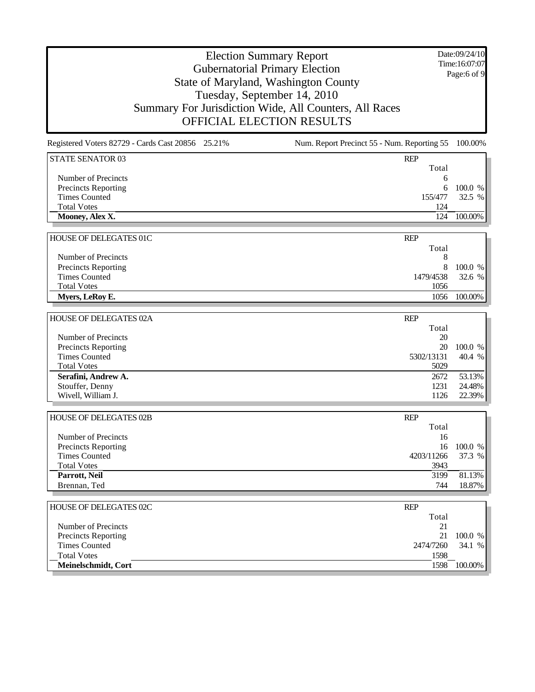Date:09/24/10 Time:16:07:07 Page:6 of 9

| Registered Voters 82729 - Cards Cast 20856 25.21% | Num. Report Precinct 55 - Num. Reporting 55 100.00% |         |
|---------------------------------------------------|-----------------------------------------------------|---------|
| STATE SENATOR 03                                  | <b>REP</b>                                          |         |
|                                                   | Total                                               |         |
| Number of Precincts                               | 6                                                   |         |
| <b>Precincts Reporting</b>                        |                                                     | 100.0 % |
| <b>Times Counted</b>                              | 155/477                                             | 32.5 %  |
| <b>Total Votes</b>                                | 124                                                 |         |
| Mooney, Alex X.                                   | 124                                                 | 100.00% |
|                                                   |                                                     |         |

| HOUSE OF DELEGATES 01C     | <b>REP</b> |            |
|----------------------------|------------|------------|
|                            | Total      |            |
| Number of Precincts        |            |            |
| <b>Precincts Reporting</b> | 8          | 100.0 %    |
| Times Counted              | 1479/4538  | 32.6 %     |
| <b>Total Votes</b>         | 1056       |            |
| Myers, LeRoy E.            | 1056       | $100.00\%$ |

| <b>HOUSE OF DELEGATES 02A</b> | <b>REP</b> |         |
|-------------------------------|------------|---------|
|                               | Total      |         |
| Number of Precincts           | 20         |         |
| <b>Precincts Reporting</b>    | 20         | 100.0 % |
| <b>Times Counted</b>          | 5302/13131 | 40.4 %  |
| <b>Total Votes</b>            | 5029       |         |
| Serafini, Andrew A.           | 2672       | 53.13%  |
| Stouffer, Denny               | 1231       | 24.48%  |
| Wivell, William J.            | 1126       | 22.39%  |

| HOUSE OF DELEGATES 02B     | <b>REP</b> |         |
|----------------------------|------------|---------|
|                            | Total      |         |
| Number of Precincts        | 16         |         |
| <b>Precincts Reporting</b> | 16         | 100.0 % |
| <b>Times Counted</b>       | 4203/11266 | 37.3 %  |
| <b>Total Votes</b>         | 3943       |         |
| Parrott, Neil              | 3199       | 81.13%  |
| Brennan, Ted               | 744        | 18.87%  |

| <b>HOUSE OF DELEGATES 02C</b> | <b>REP</b> |         |
|-------------------------------|------------|---------|
|                               | Total      |         |
| Number of Precincts           | 21         |         |
| <b>Precincts Reporting</b>    | 21         | 100.0 % |
| Times Counted                 | 2474/7260  | 34.1 %  |
| <b>Total Votes</b>            | 1598       |         |
| Meinelschmidt, Cort           | 1598       | 100.00% |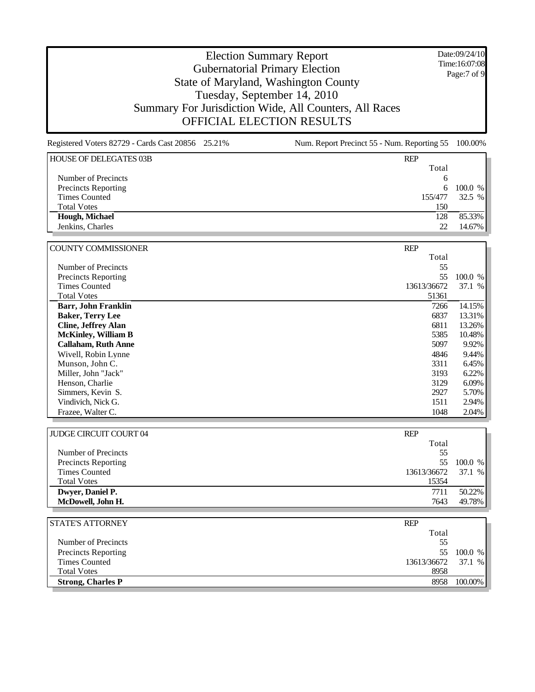Date:09/24/10 Time:16:07:08 Page:7 of 9

| Registered Voters 82729 - Cards Cast 20856 25.21% | Num. Report Precinct 55 - Num. Reporting 55 | 100.00%  |
|---------------------------------------------------|---------------------------------------------|----------|
| <b>HOUSE OF DELEGATES 03B</b>                     | <b>REP</b>                                  |          |
|                                                   | Total                                       |          |
| Number of Precincts                               | 6                                           |          |
| <b>Precincts Reporting</b>                        | 6                                           | 100.0 %  |
| <b>Times Counted</b>                              | 155/477                                     | 32.5 $%$ |
| <b>Total Votes</b>                                | 150                                         |          |
| Hough, Michael                                    | 128                                         | 85.33%   |
| Jenkins, Charles                                  | 22                                          | 14.67%   |
|                                                   |                                             |          |

| <b>COUNTY COMMISSIONER</b> | <b>REP</b>  |          |
|----------------------------|-------------|----------|
|                            | Total       |          |
| Number of Precincts        | 55          |          |
| <b>Precincts Reporting</b> | 55          | 100.0 %  |
| <b>Times Counted</b>       | 13613/36672 | 37.1%    |
| <b>Total Votes</b>         | 51361       |          |
| <b>Barr, John Franklin</b> | 7266        | 14.15%   |
| <b>Baker, Terry Lee</b>    | 6837        | 13.31%   |
| <b>Cline, Jeffrey Alan</b> | 6811        | 13.26%   |
| <b>McKinley, William B</b> | 5385        | 10.48%   |
| <b>Callaham, Ruth Anne</b> | 5097        | 9.92%    |
| Wivell, Robin Lynne        | 4846        | 9.44%    |
| Munson, John C.            | 3311        | 6.45%    |
| Miller, John "Jack"        | 3193        | 6.22%    |
| Henson, Charlie            | 3129        | $6.09\%$ |
| Simmers, Kevin S.          | 2927        | 5.70%    |
| Vindivich, Nick G.         | 1511        | 2.94%    |
| Frazee, Walter C.          | 1048        | $2.04\%$ |

| <b>JUDGE CIRCUIT COURT 04</b> | <b>REP</b>  |         |
|-------------------------------|-------------|---------|
|                               | Total       |         |
| Number of Precincts           | 55          |         |
| <b>Precincts Reporting</b>    | 55          | 100.0 % |
| <b>Times Counted</b>          | 13613/36672 | 37.1 %  |
| <b>Total Votes</b>            | 15354       |         |
| Dwyer, Daniel P.              | 7711        | 50.22%  |
| McDowell, John H.             | 7643        | 49.78%  |

| <b>STATE'S ATTORNEY</b>    | <b>REP</b>  |         |
|----------------------------|-------------|---------|
|                            | Total       |         |
| Number of Precincts        | 55          |         |
| <b>Precincts Reporting</b> | 55.         | 100.0 % |
| Times Counted              | 13613/36672 | 37.1%   |
| <b>Total Votes</b>         | 8958        |         |
| <b>Strong, Charles P</b>   | 8958        | 100.00% |
|                            |             |         |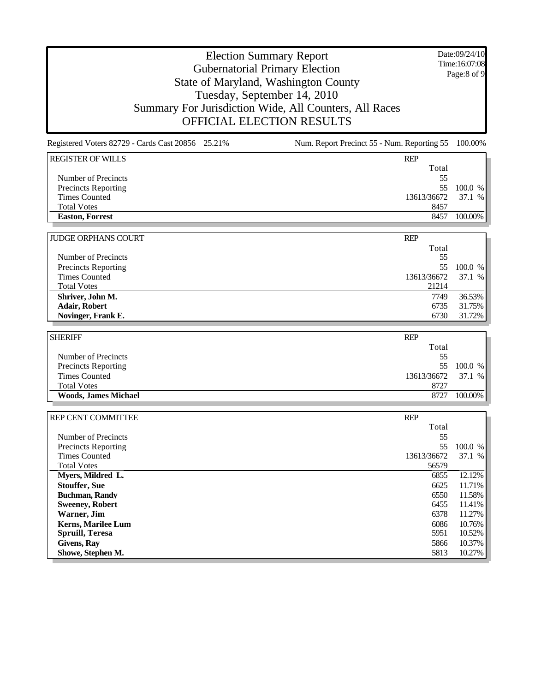Date:09/24/10 Time:16:07:08 Page:8 of 9

### Election Summary Report Gubernatorial Primary Election State of Maryland, Washington County Tuesday, September 14, 2010 Summary For Jurisdiction Wide, All Counters, All Races OFFICIAL ELECTION RESULTS

| Registered Voters 82729 - Cards Cast 20856 25.21% | Num. Report Precinct 55 - Num. Reporting 55 | 100.00%   |
|---------------------------------------------------|---------------------------------------------|-----------|
| <b>REGISTER OF WILLS</b>                          | <b>REP</b>                                  |           |
|                                                   | Total                                       |           |
| Number of Precincts                               | 55                                          |           |
| <b>Precincts Reporting</b>                        | 55                                          | 100.0 %   |
| Times Counted                                     | 13613/36672                                 | 37.1%     |
| <b>Total Votes</b>                                | 8457                                        |           |
| <b>Easton, Forrest</b>                            | 8457                                        | 100.00%   |
|                                                   |                                             |           |
| <b>JUDGE ORPHANS COURT</b>                        | <b>REP</b>                                  |           |
|                                                   | Total                                       |           |
| Number of Precincts                               | 55                                          |           |
| Precincts Reporting                               | 55                                          | 100.0 %   |
| <b>Times Counted</b>                              | 13613/36672                                 | 37.1<br>% |
| <b>Total Votes</b>                                | 21214                                       |           |
| Shriver, John M.                                  | 7749                                        | 36.53%    |

| <b>SHERIFF</b>              | <b>REP</b>  |            |
|-----------------------------|-------------|------------|
|                             | Total       |            |
| Number of Precincts         | 55          |            |
| <b>Precincts Reporting</b>  | 55          | 100.0 %    |
| Times Counted               | 13613/36672 | 37.1 %     |
| <b>Total Votes</b>          | 8727        |            |
| <b>Woods, James Michael</b> | 8727        | $100.00\%$ |

**Adair, Robert** 6735 31.75%

**Novinger, Frank E.** 6730

| <b>REP CENT COMMITTEE</b>  | <b>REP</b>  |         |
|----------------------------|-------------|---------|
|                            | Total       |         |
| Number of Precincts        | 55          |         |
| <b>Precincts Reporting</b> | 55          | 100.0 % |
| <b>Times Counted</b>       | 13613/36672 | 37.1 %  |
| <b>Total Votes</b>         | 56579       |         |
| Myers, Mildred L.          | 6855        | 12.12%  |
| <b>Stouffer, Sue</b>       | 6625        | 11.71%  |
| <b>Buchman, Randy</b>      | 6550        | 11.58%  |
| <b>Sweeney, Robert</b>     | 6455        | 11.41%  |
| Warner, Jim                | 6378        | 11.27%  |
| <b>Kerns, Marilee Lum</b>  | 6086        | 10.76%  |
| Spruill, Teresa            | 5951        | 10.52%  |
| Givens, Ray                | 5866        | 10.37%  |
| Showe, Stephen M.          | 5813        | 10.27%  |